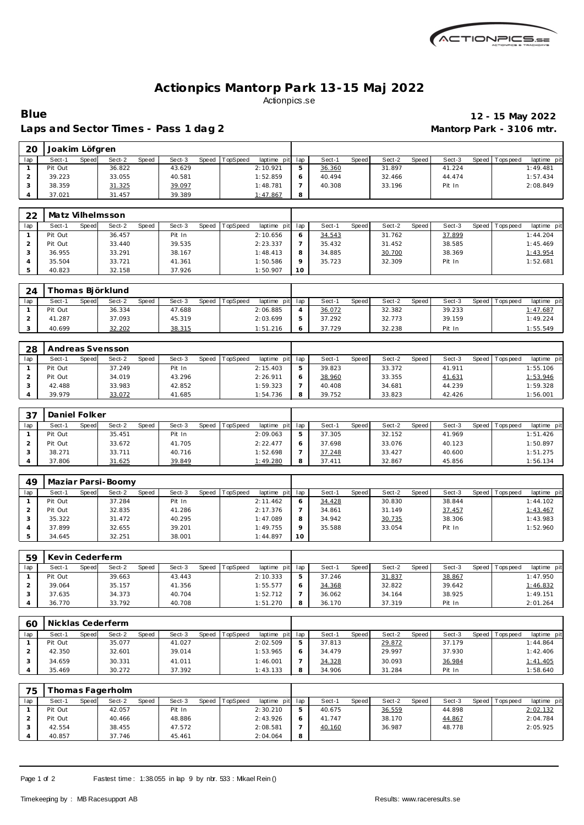

### **Actionpics Mantorp Park 13-15 Maj 2022** Actionpics.se

#### Laps and Sector Times - Pass 1 dag 2 **Mantorp Park - 3106 mtr.**

# **Blue 12 - 15 May 2022**

| 20  | Joakim Löfgren |       |        |       |        |       |          |                 |   |        |       |        |       |        |         |             |             |
|-----|----------------|-------|--------|-------|--------|-------|----------|-----------------|---|--------|-------|--------|-------|--------|---------|-------------|-------------|
| lap | Sect-1         | Speed | Sect-2 | Speed | Sect-3 | Speed | TopSpeed | laptime pit lap |   | Sect-1 | Speed | Sect-2 | Speed | Sect-3 | Speed I | T ops pee d | laptime pit |
|     | Pit Out        |       | 36.822 |       | 43.629 |       |          | 2:10.921        | 5 | 36.360 |       | 31.897 |       | 41.224 |         |             | 1:49.481    |
|     | 39.223         |       | 33.055 |       | 40.581 |       |          | 1:52.859        | O | 40.494 |       | 32.466 |       | 44.474 |         |             | 1:57.434    |
|     | 38.359         |       | 31.325 |       | 39.097 |       |          | 1:48.781        |   | 40.308 |       | 33.196 |       | Pit In |         |             | 2:08.849    |
|     | 37.021         |       | 31.457 |       | 39.389 |       |          | 1:47.867        | 8 |        |       |        |       |        |         |             |             |

| 22  | Matz Vilhelmsson |       |        |              |        |       |          |                 |          |        |       |        |       |        |                 |             |
|-----|------------------|-------|--------|--------------|--------|-------|----------|-----------------|----------|--------|-------|--------|-------|--------|-----------------|-------------|
| lap | Sect-1           | Speed | Sect-2 | <b>Speed</b> | Sect-3 | Speed | TopSpeed | laptime pit lap |          | Sect-′ | Speed | Sect-2 | Speed | Sect-3 | Speed Tops peed | laptime pit |
|     | Pit Out          |       | 36.457 |              | Pit In |       |          | 2:10.656        | O        | 34.543 |       | 31.762 |       | 37.899 |                 | 1:44.204    |
|     | Pit Out          |       | 33.440 |              | 39.535 |       |          | 2:23.337        |          | 35.432 |       | 31.452 |       | 38.585 |                 | 1:45.469    |
|     | 36.955           |       | 33.291 |              | 38.167 |       |          | 1:48.413        | 8        | 34.885 |       | 30.700 |       | 38.369 |                 | 1:43.954    |
|     | 35.504           |       | 33.721 |              | 41.361 |       |          | 1:50.586        | $\Omega$ | 35.723 |       | 32.309 |       | Pit In |                 | 1:52.681    |
|     | 40.823           |       | 32.158 |              | 37.926 |       |          | 1:50.907        | 10       |        |       |        |       |        |                 |             |

| 24  |         |       | "homas Biörklund |       |        |       |          |                 |        |       |        |       |        |                 |                |
|-----|---------|-------|------------------|-------|--------|-------|----------|-----------------|--------|-------|--------|-------|--------|-----------------|----------------|
| lap | Sect-1  | Speed | Sect-2           | Speed | Sect-3 | Speed | TopSpeed | laptime pit lap | Sect-  | Speed | Sect-2 | Speed | Sect-3 | Speed Tops peed | pit<br>laptime |
|     | Pit Out |       | 36.334           |       | 47.688 |       |          | 2:06.885        | 36.072 |       | 32.382 |       | 39.233 |                 | 1:47.687       |
|     | 41.287  |       | 37.093           |       | 45.319 |       |          | 2:03.699        | 37.292 |       | 32.773 |       | 39.159 |                 | 1:49.224       |
|     | 40.699  |       | 32.202           |       | 38.315 |       |          | 1:51.216        | 37.729 |       | 32.238 |       | Pit In |                 | 1:55.549       |

| 28  | Andreas Svensson |                 |                 |                            |     |                |                 |                 |                           |
|-----|------------------|-----------------|-----------------|----------------------------|-----|----------------|-----------------|-----------------|---------------------------|
| lap | Speed<br>Sect-′  | Sect-2<br>Speed | Sect-3<br>Speed | TopSpeed<br>laptime<br>pit | lap | Sect-<br>Speed | Sect-2<br>Speed | Sect-3<br>Speed | laptime pit<br>Tops pee d |
|     | Pit Out          | 37.249          | Pit In          | 2:15.403                   |     | 39.823         | 33.372          | 41.911          | 1:55.106                  |
|     | Pit Out          | 34.019          | 43.296          | 2:26.911                   |     | 38.960         | 33.355          | 41.631          | 1:53.946                  |
|     | 42.488           | 33.983          | 42.852          | 1:59.323                   |     | 40.408         | 34.681          | 44.239          | 1:59.328                  |
|     | 39.979           | 33.072          | 41.685          | 1:54.736                   | 8   | 39.752         | 33.823          | 42.426          | 1:56.001                  |

| -37 | Daniel Folker |       |        |       |        |       |                 |             |     |        |       |        |         |        |         |          |             |
|-----|---------------|-------|--------|-------|--------|-------|-----------------|-------------|-----|--------|-------|--------|---------|--------|---------|----------|-------------|
| lap | Sect-1        | Speed | Sect-2 | Speed | Sect-3 | Speed | <b>TopSpeed</b> | laptime pit | lap | Sect-1 | Speed | Sect-2 | Speed I | Sect-3 | Speed I | Topspeed | laptime pit |
|     | Pit Out       |       | 35.451 |       | Pit In |       |                 | 2:09.063    |     | 37.305 |       | 32.152 |         | 41.969 |         |          | 1:51.426    |
|     | Pit Out       |       | 33.672 |       | 41.705 |       |                 | 2:22.477    |     | 37.698 |       | 33.076 |         | 40.123 |         |          | 1:50.897    |
|     | 38.271        |       | 33.711 |       | 40.716 |       |                 | 1:52.698    |     | 37.248 |       | 33.427 |         | 40.600 |         |          | 1:51.275    |
|     | 37.806        |       | 31.625 |       | 39.849 |       |                 | 1:49.280    |     | 37.411 |       | 32.867 |         | 45.856 |         |          | 1:56.134    |

| 49  | Maziar Parsi-Boomy |       |        |       |        |       |          |                 |    |        |       |        |         |        |         |          |             |
|-----|--------------------|-------|--------|-------|--------|-------|----------|-----------------|----|--------|-------|--------|---------|--------|---------|----------|-------------|
| lap | Sect-1             | Speed | Sect-2 | Speed | Sect-3 | Speed | TopSpeed | laptime pit lap |    | Sect-1 | Speed | Sect-2 | Speed I | Sect-3 | Speed I | Topspeed | laptime pit |
|     | Pit Out            |       | 37.284 |       | Pit In |       |          | 2:11.462        |    | 34.428 |       | 30.830 |         | 38.844 |         |          | 1:44.102    |
|     | Pit Out            |       | 32.835 |       | 41.286 |       |          | 2:17.376        |    | 34.861 |       | 31.149 |         | 37.457 |         |          | 1:43.467    |
|     | 35.322             |       | 31.472 |       | 40.295 |       |          | 1:47.089        |    | 34.942 |       | 30.735 |         | 38.306 |         |          | 1:43.983    |
|     | 37.899             |       | 32.655 |       | 39.201 |       |          | 1:49.755        |    | 35.588 |       | 33.054 |         | Pit In |         |          | 1:52.960    |
|     | 34.645             |       | 32.251 |       | 38.001 |       |          | 1:44.897        | 10 |        |       |        |         |        |         |          |             |

| 59  | Kevin Cederferm |       |        |              |        |       |                 |                 |        |              |        |       |        |                 |             |
|-----|-----------------|-------|--------|--------------|--------|-------|-----------------|-----------------|--------|--------------|--------|-------|--------|-----------------|-------------|
| lap | Sect-1          | Speed | Sect-2 | <b>Speed</b> | Sect-3 | Speed | <b>TopSpeed</b> | laptime pit lap | Sect-1 | <b>Speed</b> | Sect-2 | Speed | Sect-3 | Speed Tops peed | laptime pit |
|     | Pit Out         |       | 39.663 |              | 43.443 |       |                 | 2:10.333        | 37.246 |              | 31.837 |       | 38.867 |                 | 1:47.950    |
|     | 39.064          |       | 35.157 |              | 41.356 |       |                 | 1:55.577        | 34.368 |              | 32.822 |       | 39.642 |                 | 1:46.832    |
|     | 37.635          |       | 34.373 |              | 40.704 |       |                 | 1:52.712        | 36.062 |              | 34.164 |       | 38.925 |                 | 1:49.151    |
|     | 36.770          |       | 33.792 |              | 40.708 |       |                 | 1:51.270        | 36.170 |              | 37.319 |       | Pit In |                 | 2:01.264    |

| 60  |         |       | Nicklas Cederferm |       |        |                |             |     |        |       |        |       |        |       |            |             |
|-----|---------|-------|-------------------|-------|--------|----------------|-------------|-----|--------|-------|--------|-------|--------|-------|------------|-------------|
| lap | Sect-1  | Speed | Sect-2            | Speed | Sect-3 | Speed TopSpeed | laptime pit | lap | Sect-1 | Speed | Sect-2 | Speed | Sect-3 | Speed | Tops pee d | laptime pit |
|     | Pit Out |       | 35.077            |       | 41.027 |                | 2:02.509    | 5   | 37.813 |       | 29.872 |       | 37.179 |       |            | 1:44.864    |
|     | 42.350  |       | 32.601            |       | 39.014 |                | 1:53.965    |     | 34.479 |       | 29.997 |       | 37.930 |       |            | 1:42.406    |
|     | 34.659  |       | 30.331            |       | 41.011 |                | 1:46.001    |     | 34.328 |       | 30.093 |       | 36.984 |       |            | 1:41.405    |
|     | 35.469  |       | 30.272            |       | 37.392 |                | 1:43.133    |     | 34.906 |       | 31.284 |       | Pit In |       |            | 1:58.640    |

| 75  |         |       | Thomas Fagerholm |       |        |       |          |                 |   |        |       |        |       |        |       |           |             |
|-----|---------|-------|------------------|-------|--------|-------|----------|-----------------|---|--------|-------|--------|-------|--------|-------|-----------|-------------|
| lap | Sect-1  | Speed | Sect-2           | Speed | Sect-3 | Speed | TopSpeed | laptime pit lap |   | Sect-' | Speed | Sect-2 | Speed | Sect-3 | Speec | Tops peed | laptime pit |
|     | Pit Out |       | 42.057           |       | Pit In |       |          | 2:30.210        |   | 40.675 |       | 36.559 |       | 44.898 |       |           | 2:02.132    |
|     | Pit Out |       | 40.466           |       | 48.886 |       |          | 2:43.926        | 6 | 41.747 |       | 38.170 |       | 44.867 |       |           | 2:04.784    |
|     | 42.554  |       | 38.455           |       | 47.572 |       |          | 2:08.581        |   | 40.160 |       | 36.987 |       | 48.778 |       |           | 2:05.925    |
|     | 40.857  |       | 37.746           |       | 45.461 |       |          | 2:04.064        | 8 |        |       |        |       |        |       |           |             |

Page 1 of 2 Fastest time: 1:38.055 in lap 9 by nbr. 533 : Mikael Rein ()